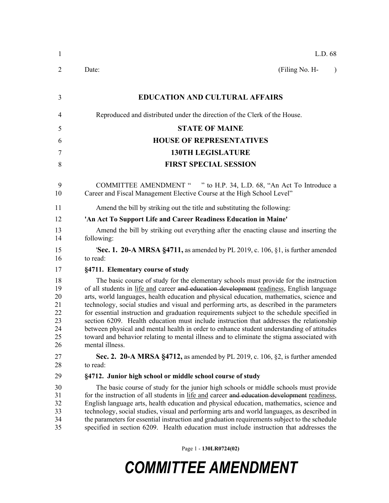| (Filing No. H-<br>$\lambda$                                                                                                                                                                                                                                                                                                                                                                                                                                                                                                                                                                                                                                                                                                                                    |
|----------------------------------------------------------------------------------------------------------------------------------------------------------------------------------------------------------------------------------------------------------------------------------------------------------------------------------------------------------------------------------------------------------------------------------------------------------------------------------------------------------------------------------------------------------------------------------------------------------------------------------------------------------------------------------------------------------------------------------------------------------------|
|                                                                                                                                                                                                                                                                                                                                                                                                                                                                                                                                                                                                                                                                                                                                                                |
|                                                                                                                                                                                                                                                                                                                                                                                                                                                                                                                                                                                                                                                                                                                                                                |
|                                                                                                                                                                                                                                                                                                                                                                                                                                                                                                                                                                                                                                                                                                                                                                |
|                                                                                                                                                                                                                                                                                                                                                                                                                                                                                                                                                                                                                                                                                                                                                                |
|                                                                                                                                                                                                                                                                                                                                                                                                                                                                                                                                                                                                                                                                                                                                                                |
|                                                                                                                                                                                                                                                                                                                                                                                                                                                                                                                                                                                                                                                                                                                                                                |
|                                                                                                                                                                                                                                                                                                                                                                                                                                                                                                                                                                                                                                                                                                                                                                |
| COMMITTEE AMENDMENT " " to H.P. 34, L.D. 68, "An Act To Introduce a                                                                                                                                                                                                                                                                                                                                                                                                                                                                                                                                                                                                                                                                                            |
|                                                                                                                                                                                                                                                                                                                                                                                                                                                                                                                                                                                                                                                                                                                                                                |
|                                                                                                                                                                                                                                                                                                                                                                                                                                                                                                                                                                                                                                                                                                                                                                |
| Amend the bill by striking out everything after the enacting clause and inserting the                                                                                                                                                                                                                                                                                                                                                                                                                                                                                                                                                                                                                                                                          |
| <b>Sec. 1. 20-A MRSA §4711,</b> as amended by PL 2019, c. 106, §1, is further amended                                                                                                                                                                                                                                                                                                                                                                                                                                                                                                                                                                                                                                                                          |
|                                                                                                                                                                                                                                                                                                                                                                                                                                                                                                                                                                                                                                                                                                                                                                |
| The basic course of study for the elementary schools must provide for the instruction<br>of all students in life and career and education development readiness, English language<br>arts, world languages, health education and physical education, mathematics, science and<br>technology, social studies and visual and performing arts, as described in the parameters<br>for essential instruction and graduation requirements subject to the schedule specified in<br>section 6209. Health education must include instruction that addresses the relationship<br>between physical and mental health in order to enhance student understanding of attitudes<br>toward and behavior relating to mental illness and to eliminate the stigma associated with |
| Sec. 2. 20-A MRSA §4712, as amended by PL 2019, c. 106, §2, is further amended                                                                                                                                                                                                                                                                                                                                                                                                                                                                                                                                                                                                                                                                                 |
|                                                                                                                                                                                                                                                                                                                                                                                                                                                                                                                                                                                                                                                                                                                                                                |
| The basic course of study for the junior high schools or middle schools must provide<br>for the instruction of all students in life and career and education development readiness,<br>English language arts, health education and physical education, mathematics, science and<br>technology, social studies, visual and performing arts and world languages, as described in<br>the parameters for essential instruction and graduation requirements subject to the schedule<br>specified in section 6209. Health education must include instruction that addresses the                                                                                                                                                                                      |
|                                                                                                                                                                                                                                                                                                                                                                                                                                                                                                                                                                                                                                                                                                                                                                |

Page 1 - **130LR0724(02)**

## *COMMITTEE AMENDMENT*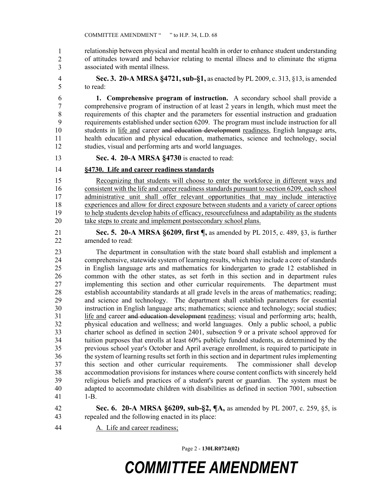relationship between physical and mental health in order to enhance student understanding 37 of attitudes toward and behavior relating to mental illness and to eliminate the stigma 38 associated with mental illness. 1 2 3

4 **Sec. 3. 20-A MRSA §4721, sub-§1,** as enacted by PL 2009, c. 313, §13, is amended 5 to read:

6 **1. Comprehensive program of instruction.** A secondary school shall provide a 7 comprehensive program of instruction of at least 2 years in length, which must meet the 8 requirements of this chapter and the parameters for essential instruction and graduation 9 requirements established under section 6209. The program must include instruction for all 10 students in life and career and education development readiness, English language arts, 11 health education and physical education, mathematics, science and technology, social 12 studies, visual and performing arts and world languages.

- 13 **Sec. 4. 20-A MRSA §4730** is enacted to read:
- 14 **§4730. Life and career readiness standards**

15 Recognizing that students will choose to enter the workforce in different ways and 16 consistent with the life and career readiness standards pursuant to section 6209, each school 17 administrative unit shall offer relevant opportunities that may include interactive 18 experiences and allow for direct exposure between students and a variety of career options 19 to help students develop habits of efficacy, resourcefulness and adaptability as the students 20 take steps to create and implement postsecondary school plans.

21 **Sec. 5. 20-A MRSA §6209, first ¶,** as amended by PL 2015, c. 489, §3, is further 22 amended to read:

23 The department in consultation with the state board shall establish and implement a 24 comprehensive, statewide system of learning results, which may include a core of standards 25 in English language arts and mathematics for kindergarten to grade 12 established in 26 common with the other states, as set forth in this section and in department rules 27 implementing this section and other curricular requirements. The department must 28 establish accountability standards at all grade levels in the areas of mathematics; reading; 29 and science and technology. The department shall establish parameters for essential 30 instruction in English language arts; mathematics; science and technology; social studies; 31 life and career and education development readiness; visual and performing arts; health, 32 physical education and wellness; and world languages. Only a public school, a public 33 charter school as defined in section 2401, subsection 9 or a private school approved for 34 tuition purposes that enrolls at least 60% publicly funded students, as determined by the 35 previous school year's October and April average enrollment, is required to participate in 36 the system of learning results set forth in this section and in department rules implementing 37 this section and other curricular requirements. The commissioner shall develop 38 accommodation provisions for instances where course content conflicts with sincerely held 39 religious beliefs and practices of a student's parent or guardian. The system must be 40 adapted to accommodate children with disabilities as defined in section 7001, subsection 41 1-B.

- 42 **Sec. 6. 20-A MRSA §6209, sub-§2, ¶A,** as amended by PL 2007, c. 259, §5, is 43 repealed and the following enacted in its place:
- 44 A. Life and career readiness;

Page 2 - **130LR0724(02)**

## *COMMITTEE AMENDMENT*